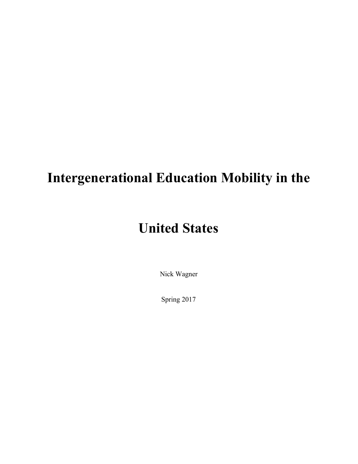# **Intergenerational Education Mobility in the**

# **United States**

Nick Wagner

Spring 2017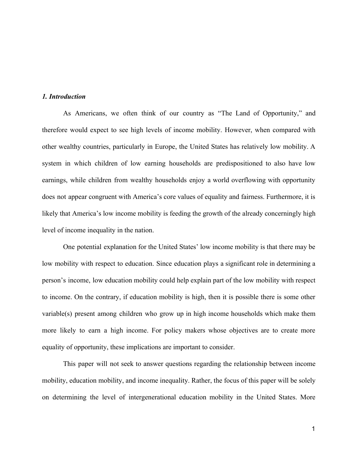### *1. Introduction*

As Americans, we often think of our country as "The Land of Opportunity," and therefore would expect to see high levels of income mobility. However, when compared with other wealthy countries, particularly in Europe, the United States has relatively low mobility. A system in which children of low earning households are predispositioned to also have low earnings, while children from wealthy households enjoy a world overflowing with opportunity does not appear congruent with America's core values of equality and fairness. Furthermore, it is likely that America's low income mobility is feeding the growth of the already concerningly high level of income inequality in the nation.

One potential explanation for the United States' low income mobility is that there may be low mobility with respect to education. Since education plays a significant role in determining a person's income, low education mobility could help explain part of the low mobility with respect to income. On the contrary, if education mobility is high, then it is possible there is some other variable(s) present among children who grow up in high income households which make them more likely to earn a high income. For policy makers whose objectives are to create more equality of opportunity, these implications are important to consider.

This paper will not seek to answer questions regarding the relationship between income mobility, education mobility, and income inequality. Rather, the focus of this paper will be solely on determining the level of intergenerational education mobility in the United States. More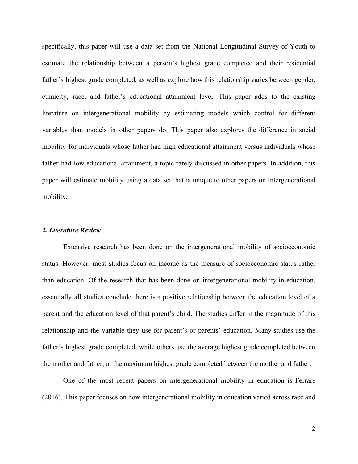specifically, this paper will use a data set from the National Longitudinal Survey of Youth to estimate the relationship between a person's highest grade completed and their residential father's highest grade completed, as well as explore how this relationship varies between gender, ethnicity, race, and father's educational attainment level. This paper adds to the existing literature on intergenerational mobility by estimating models which control for different variables than models in other papers do. This paper also explores the difference in social mobility for individuals whose father had high educational attainment versus individuals whose father had low educational attainment, a topic rarely discussed in other papers. In addition, this paper will estimate mobility using a data set that is unique to other papers on intergenerational mobility.

### *2. Literature Review*

Extensive research has been done on the intergenerational mobility of socioeconomic status. However, most studies focus on income as the measure of socioeconomic status rather than education. Of the research that has been done on intergenerational mobility in education, essentially all studies conclude there is a positive relationship between the education level of a parent and the education level of that parent's child. The studies differ in the magnitude of this relationship and the variable they use for parent's or parents' education. Many studies use the father's highest grade completed, while others use the average highest grade completed between the mother and father, or the maximum highest grade completed between the mother and father.

One of the most recent papers on intergenerational mobility in education is Ferrare (2016). This paper focuses on how intergenerational mobility in education varied across race and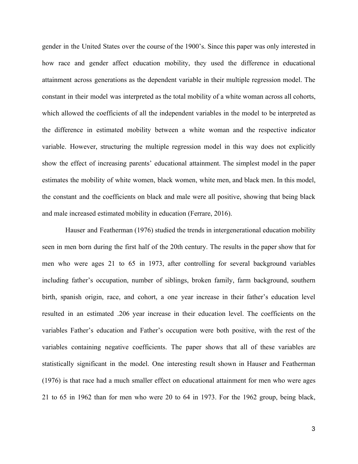gender in the United States over the course of the 1900's. Since this paper was only interested in how race and gender affect education mobility, they used the difference in educational attainment across generations as the dependent variable in their multiple regression model. The constant in their model was interpreted as the total mobility of a white woman across all cohorts, which allowed the coefficients of all the independent variables in the model to be interpreted as the difference in estimated mobility between a white woman and the respective indicator variable. However, structuring the multiple regression model in this way does not explicitly show the effect of increasing parents' educational attainment. The simplest model in the paper estimates the mobility of white women, black women, white men, and black men. In this model, the constant and the coefficients on black and male were all positive, showing that being black and male increased estimated mobility in education (Ferrare, 2016).

Hauser and Featherman (1976) studied the trends in intergenerational education mobility seen in men born during the first half of the 20th century. The results in the paper show that for men who were ages 21 to 65 in 1973, after controlling for several background variables including father's occupation, number of siblings, broken family, farm background, southern birth, spanish origin, race, and cohort, a one year increase in their father's education level resulted in an estimated .206 year increase in their education level. The coefficients on the variables Father's education and Father's occupation were both positive, with the rest of the variables containing negative coefficients. The paper shows that all of these variables are statistically significant in the model. One interesting result shown in Hauser and Featherman (1976) is that race had a much smaller effect on educational attainment for men who were ages 21 to 65 in 1962 than for men who were 20 to 64 in 1973. For the 1962 group, being black,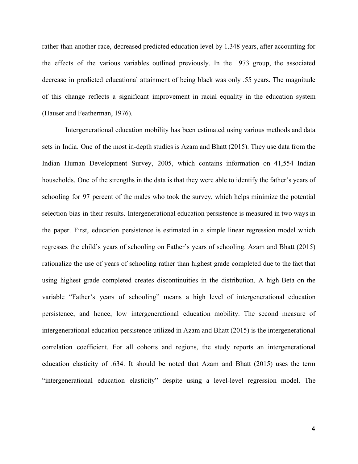rather than another race, decreased predicted education level by 1.348 years, after accounting for the effects of the various variables outlined previously. In the 1973 group, the associated decrease in predicted educational attainment of being black was only .55 years. The magnitude of this change reflects a significant improvement in racial equality in the education system (Hauser and Featherman, 1976).

Intergenerational education mobility has been estimated using various methods and data sets in India. One of the most in-depth studies is Azam and Bhatt (2015). They use data from the Indian Human Development Survey, 2005, which contains information on 41,554 Indian households. One of the strengths in the data is that they were able to identify the father's years of schooling for 97 percent of the males who took the survey, which helps minimize the potential selection bias in their results. Intergenerational education persistence is measured in two ways in the paper. First, education persistence is estimated in a simple linear regression model which regresses the child's years of schooling on Father's years of schooling. Azam and Bhatt (2015) rationalize the use of years of schooling rather than highest grade completed due to the fact that using highest grade completed creates discontinuities in the distribution. A high Beta on the variable "Father's years of schooling" means a high level of intergenerational education persistence, and hence, low intergenerational education mobility. The second measure of intergenerational education persistence utilized in Azam and Bhatt (2015) is the intergenerational correlation coefficient. For all cohorts and regions, the study reports an intergenerational education elasticity of .634. It should be noted that Azam and Bhatt (2015) uses the term "intergenerational education elasticity" despite using a level-level regression model. The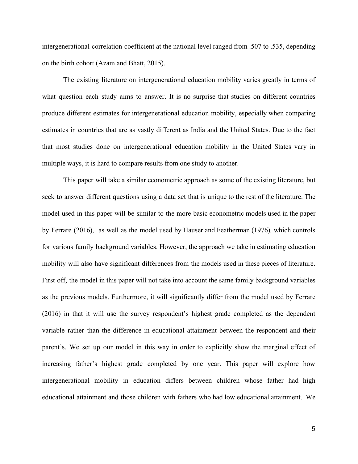intergenerational correlation coefficient at the national level ranged from .507 to .535, depending on the birth cohort (Azam and Bhatt, 2015).

The existing literature on intergenerational education mobility varies greatly in terms of what question each study aims to answer. It is no surprise that studies on different countries produce different estimates for intergenerational education mobility, especially when comparing estimates in countries that are as vastly different as India and the United States. Due to the fact that most studies done on intergenerational education mobility in the United States vary in multiple ways, it is hard to compare results from one study to another.

This paper will take a similar econometric approach as some of the existing literature, but seek to answer different questions using a data set that is unique to the rest of the literature. The model used in this paper will be similar to the more basic econometric models used in the paper by Ferrare (2016), as well as the model used by Hauser and Featherman (1976)*,* which controls for various family background variables. However, the approach we take in estimating education mobility will also have significant differences from the models used in these pieces of literature. First off, the model in this paper will not take into account the same family background variables as the previous models. Furthermore, it will significantly differ from the model used by Ferrare (2016) in that it will use the survey respondent's highest grade completed as the dependent variable rather than the difference in educational attainment between the respondent and their parent's. We set up our model in this way in order to explicitly show the marginal effect of increasing father's highest grade completed by one year. This paper will explore how intergenerational mobility in education differs between children whose father had high educational attainment and those children with fathers who had low educational attainment. We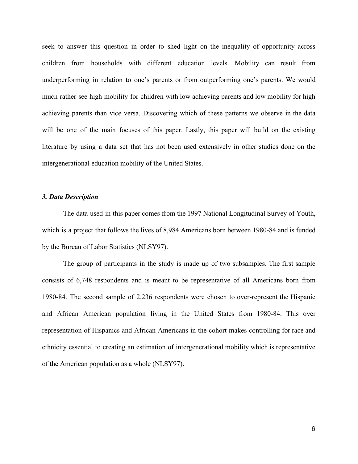seek to answer this question in order to shed light on the inequality of opportunity across children from households with different education levels. Mobility can result from underperforming in relation to one's parents or from outperforming one's parents. We would much rather see high mobility for children with low achieving parents and low mobility for high achieving parents than vice versa. Discovering which of these patterns we observe in the data will be one of the main focuses of this paper. Lastly, this paper will build on the existing literature by using a data set that has not been used extensively in other studies done on the intergenerational education mobility of the United States.

### *3. Data Description*

The data used in this paper comes from the 1997 National Longitudinal Survey of Youth, which is a project that follows the lives of 8,984 Americans born between 1980-84 and is funded by the Bureau of Labor Statistics (NLSY97).

The group of participants in the study is made up of two subsamples. The first sample consists of 6,748 respondents and is meant to be representative of all Americans born from 1980-84. The second sample of 2,236 respondents were chosen to over-represent the Hispanic and African American population living in the United States from 1980-84. This over representation of Hispanics and African Americans in the cohort makes controlling for race and ethnicity essential to creating an estimation of intergenerational mobility which is representative of the American population as a whole (NLSY97).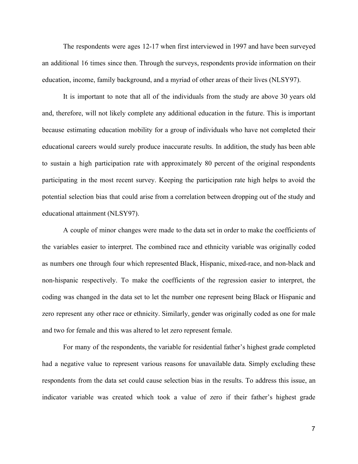The respondents were ages 12-17 when first interviewed in 1997 and have been surveyed an additional 16 times since then. Through the surveys, respondents provide information on their education, income, family background, and a myriad of other areas of their lives (NLSY97).

It is important to note that all of the individuals from the study are above 30 years old and, therefore, will not likely complete any additional education in the future. This is important because estimating education mobility for a group of individuals who have not completed their educational careers would surely produce inaccurate results. In addition, the study has been able to sustain a high participation rate with approximately 80 percent of the original respondents participating in the most recent survey. Keeping the participation rate high helps to avoid the potential selection bias that could arise from a correlation between dropping out of the study and educational attainment (NLSY97).

A couple of minor changes were made to the data set in order to make the coefficients of the variables easier to interpret. The combined race and ethnicity variable was originally coded as numbers one through four which represented Black, Hispanic, mixed-race, and non-black and non-hispanic respectively. To make the coefficients of the regression easier to interpret, the coding was changed in the data set to let the number one represent being Black or Hispanic and zero represent any other race or ethnicity. Similarly, gender was originally coded as one for male and two for female and this was altered to let zero represent female.

For many of the respondents, the variable for residential father's highest grade completed had a negative value to represent various reasons for unavailable data. Simply excluding these respondents from the data set could cause selection bias in the results. To address this issue, an indicator variable was created which took a value of zero if their father's highest grade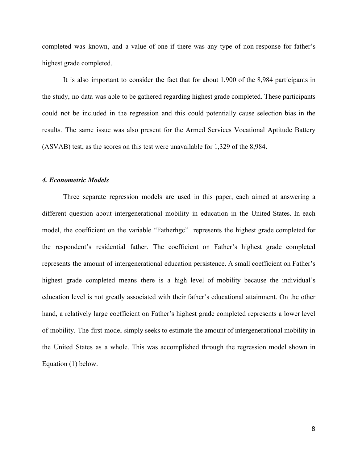completed was known, and a value of one if there was any type of non-response for father's highest grade completed.

It is also important to consider the fact that for about 1,900 of the 8,984 participants in the study, no data was able to be gathered regarding highest grade completed. These participants could not be included in the regression and this could potentially cause selection bias in the results. The same issue was also present for the Armed Services Vocational Aptitude Battery (ASVAB) test, as the scores on this test were unavailable for 1,329 of the 8,984.

### *4. Econometric Models*

Three separate regression models are used in this paper, each aimed at answering a different question about intergenerational mobility in education in the United States. In each model, the coefficient on the variable "Fatherhgc" represents the highest grade completed for the respondent's residential father. The coefficient on Father's highest grade completed represents the amount of intergenerational education persistence. A small coefficient on Father's highest grade completed means there is a high level of mobility because the individual's education level is not greatly associated with their father's educational attainment. On the other hand, a relatively large coefficient on Father's highest grade completed represents a lower level of mobility. The first model simply seeks to estimate the amount of intergenerational mobility in the United States as a whole. This was accomplished through the regression model shown in Equation (1) below.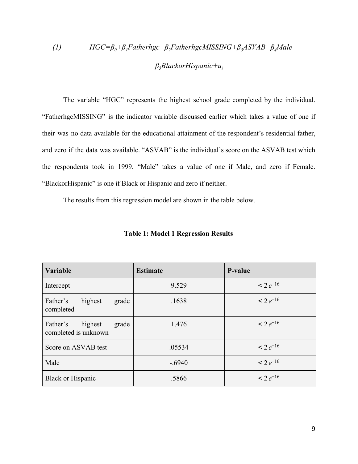# *(1)**HGC=β0+β1Fatherhgc+β2FatherhgcMISSING+β3ASVAB+β4Male+ β5BlackorHispanic+u<sup>i</sup>*

The variable "HGC" represents the highest school grade completed by the individual. "FatherhgcMISSING" is the indicator variable discussed earlier which takes a value of one if their was no data available for the educational attainment of the respondent's residential father, and zero if the data was available. "ASVAB" is the individual's score on the ASVAB test which the respondents took in 1999. "Male" takes a value of one if Male, and zero if Female. "BlackorHispanic" is one if Black or Hispanic and zero if neither.

The results from this regression model are shown in the table below.

| Variable                                             | <b>Estimate</b> | P-value       |
|------------------------------------------------------|-----------------|---------------|
| Intercept                                            | 9.529           | $< 2 e^{-16}$ |
| Father's<br>highest<br>grade<br>completed            | .1638           | $< 2 e^{-16}$ |
| highest<br>Father's<br>grade<br>completed is unknown | 1.476           | $< 2e^{-16}$  |
| Score on ASVAB test                                  | .05534          | $< 2 e^{-16}$ |
| Male                                                 | $-.6940$        | $< 2 e^{-16}$ |
| <b>Black or Hispanic</b>                             | .5866           | $< 2 e^{-16}$ |

#### **Table 1: Model 1 Regression Results**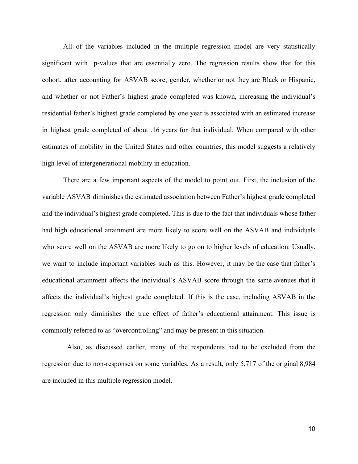All of the variables included in the multiple regression model are very statistically significant with p-values that are essentially zero. The regression results show that for this cohort, after accounting for ASVAB score, gender, whether or not they are Black or Hispanic, and whether or not Father's highest grade completed was known, increasing the individual's residential father's highest grade completed by one year is associated with an estimated increase in highest grade completed of about .16 years for that individual. When compared with other estimates of mobility in the United States and other countries, this model suggests a relatively high level of intergenerational mobility in education.

There are a few important aspects of the model to point out. First, the inclusion of the variable ASVAB diminishes the estimated association between Father's highest grade completed and the individual's highest grade completed. This is due to the fact that individuals whose father had high educational attainment are more likely to score well on the ASVAB and individuals who score well on the ASVAB are more likely to go on to higher levels of education. Usually, we want to include important variables such as this. However, it may be the case that father's educational attainment affects the individual's ASVAB score through the same avenues that it affects the individual's highest grade completed. If this is the case, including ASVAB in the regression only diminishes the true effect of father's educational attainment. This issue is commonly referred to as "overcontrolling" and may be present in this situation.

Also, as discussed earlier, many of the respondents had to be excluded from the regression due to non-responses on some variables. As a result, only 5,717 of the original 8,984 are included in this multiple regression model.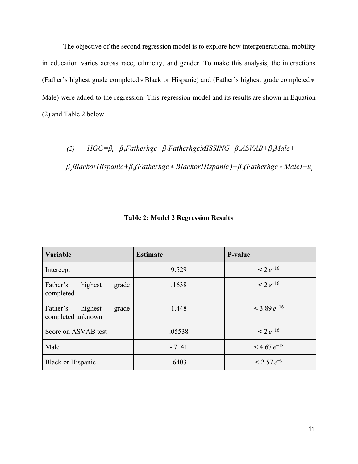The objective of the second regression model is to explore how intergenerational mobility in education varies across race, ethnicity, and gender. To make this analysis, the interactions (Father's highest grade completed \* Black or Hispanic) and (Father's highest grade completed \* Male) were added to the regression. This regression model and its results are shown in Equation (2) and Table 2 below.

*(2) HGC=β0+β1Fatherhgc+β2FatherhgcMISSING+β3ASVAB+β4Male+*

*β5BlackorHispanic+β<sup>6</sup> (Fatherhgc )+β<sup>7</sup> (Fatherhgc Male)+u<sup>i</sup>* \* *BlackorHispanic* \*

| Variable                                          | <b>Estimate</b> | P-value            |
|---------------------------------------------------|-----------------|--------------------|
| Intercept                                         | 9.529           | $< 2 e^{-16}$      |
| Father's<br>highest<br>grade<br>completed         | .1638           | $< 2 e^{-16}$      |
| Father's<br>highest<br>grade<br>completed unknown | 1.448           | $<$ 3.89 $e^{-16}$ |
| Score on ASVAB test                               | .05538          | $\leq 2e^{-16}$    |
| Male                                              | $-7141$         | $<$ 4.67 $e^{-13}$ |
| <b>Black or Hispanic</b>                          | .6403           | $< 2.57 e^{-9}$    |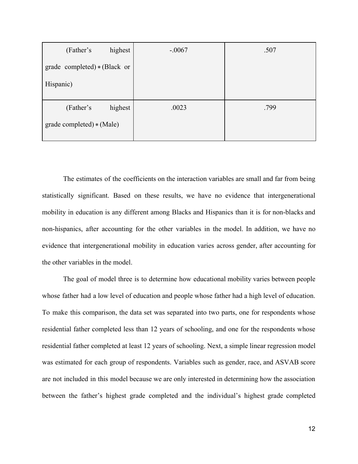| highest<br>(Father's         | $-.0067$ | .507 |
|------------------------------|----------|------|
| grade completed) * (Black or |          |      |
| Hispanic)                    |          |      |
| highest<br>(Father's         | .0023    | .799 |
| grade completed) * (Male)    |          |      |

The estimates of the coefficients on the interaction variables are small and far from being statistically significant. Based on these results, we have no evidence that intergenerational mobility in education is any different among Blacks and Hispanics than it is for non-blacks and non-hispanics, after accounting for the other variables in the model. In addition, we have no evidence that intergenerational mobility in education varies across gender, after accounting for the other variables in the model.

The goal of model three is to determine how educational mobility varies between people whose father had a low level of education and people whose father had a high level of education. To make this comparison, the data set was separated into two parts, one for respondents whose residential father completed less than 12 years of schooling, and one for the respondents whose residential father completed at least 12 years of schooling. Next, a simple linear regression model was estimated for each group of respondents. Variables such as gender, race, and ASVAB score are not included in this model because we are only interested in determining how the association between the father's highest grade completed and the individual's highest grade completed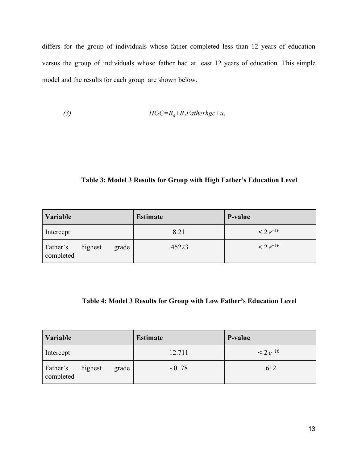differs for the group of individuals whose father completed less than 12 years of education versus the group of individuals whose father had at least 12 years of education. This simple model and the results for each group are shown below.

$$
(3) \t HGC = B_0 + B_1 Fatherhgc + u_i
$$

## **Table 3: Model 3 Results for Group with High Father's Education Level**

| <i><b>Variable</b></i> |         |       | <b>Estimate</b> | P-value         |
|------------------------|---------|-------|-----------------|-----------------|
| Intercept              |         |       | 8.21            | $\leq 2e^{-16}$ |
| Father's<br>completed  | highest | grade | .45223          | $\leq 2e^{-16}$ |

# **Table 4: Model 3 Results for Group with Low Father's Education Level**

| Variable              |         |       | <b>Estimate</b> | P-value         |
|-----------------------|---------|-------|-----------------|-----------------|
| Intercept             |         |       | 12.711          | $\leq 2e^{-16}$ |
| Father's<br>completed | highest | grade | $-0178$         | .612            |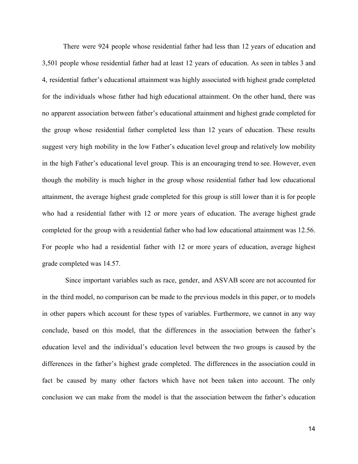There were 924 people whose residential father had less than 12 years of education and 3,501 people whose residential father had at least 12 years of education. As seen in tables 3 and 4, residential father's educational attainment was highly associated with highest grade completed for the individuals whose father had high educational attainment. On the other hand, there was no apparent association between father's educational attainment and highest grade completed for the group whose residential father completed less than 12 years of education. These results suggest very high mobility in the low Father's education level group and relatively low mobility in the high Father's educational level group. This is an encouraging trend to see. However, even though the mobility is much higher in the group whose residential father had low educational attainment, the average highest grade completed for this group is still lower than it is for people who had a residential father with 12 or more years of education. The average highest grade completed for the group with a residential father who had low educational attainment was 12.56. For people who had a residential father with 12 or more years of education, average highest grade completed was 14.57.

Since important variables such as race, gender, and ASVAB score are not accounted for in the third model, no comparison can be made to the previous models in this paper, or to models in other papers which account for these types of variables. Furthermore, we cannot in any way conclude, based on this model, that the differences in the association between the father's education level and the individual's education level between the two groups is caused by the differences in the father's highest grade completed. The differences in the association could in fact be caused by many other factors which have not been taken into account. The only conclusion we can make from the model is that the association between the father's education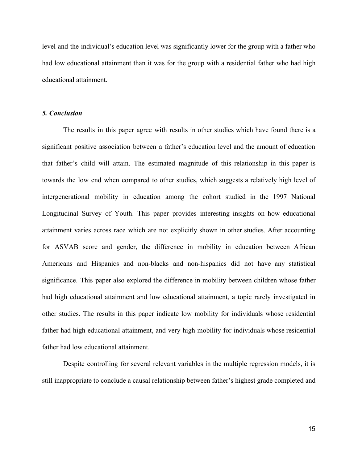level and the individual's education level was significantly lower for the group with a father who had low educational attainment than it was for the group with a residential father who had high educational attainment.

### *5. Conclusion*

The results in this paper agree with results in other studies which have found there is a significant positive association between a father's education level and the amount of education that father's child will attain. The estimated magnitude of this relationship in this paper is towards the low end when compared to other studies, which suggests a relatively high level of intergenerational mobility in education among the cohort studied in the 1997 National Longitudinal Survey of Youth. This paper provides interesting insights on how educational attainment varies across race which are not explicitly shown in other studies. After accounting for ASVAB score and gender, the difference in mobility in education between African Americans and Hispanics and non-blacks and non-hispanics did not have any statistical significance. This paper also explored the difference in mobility between children whose father had high educational attainment and low educational attainment, a topic rarely investigated in other studies. The results in this paper indicate low mobility for individuals whose residential father had high educational attainment, and very high mobility for individuals whose residential father had low educational attainment.

Despite controlling for several relevant variables in the multiple regression models, it is still inappropriate to conclude a causal relationship between father's highest grade completed and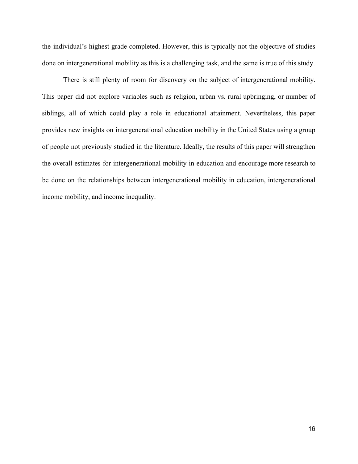the individual's highest grade completed. However, this is typically not the objective of studies done on intergenerational mobility as this is a challenging task, and the same is true of this study.

There is still plenty of room for discovery on the subject of intergenerational mobility. This paper did not explore variables such as religion, urban vs. rural upbringing, or number of siblings, all of which could play a role in educational attainment. Nevertheless, this paper provides new insights on intergenerational education mobility in the United States using a group of people not previously studied in the literature. Ideally, the results of this paper will strengthen the overall estimates for intergenerational mobility in education and encourage more research to be done on the relationships between intergenerational mobility in education, intergenerational income mobility, and income inequality.